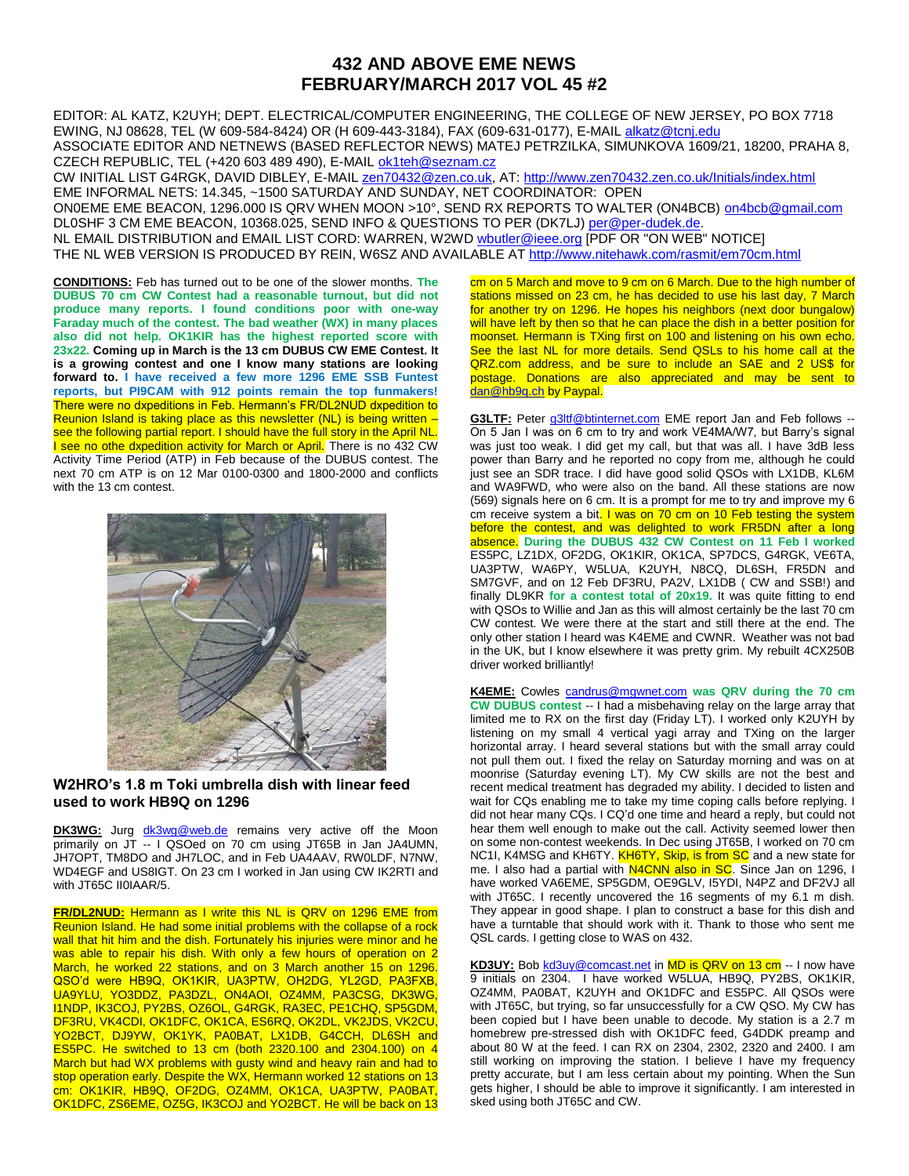## **432 AND ABOVE EME NEWS FEBRUARY/MARCH 2017 VOL 45 #2**

EDITOR: AL KATZ, K2UYH; DEPT. ELECTRICAL/COMPUTER ENGINEERING, THE COLLEGE OF NEW JERSEY, PO BOX 7718 EWING, NJ 08628, TEL (W 609-584-8424) OR (H 609-443-3184), FAX (609-631-0177), E-MAIL [alkatz@tcnj.edu](mailto:alkatz@tcnj.edu) ASSOCIATE EDITOR AND NETNEWS (BASED REFLECTOR NEWS) MATEJ PETRZILKA, SIMUNKOVA 1609/21, 18200, PRAHA 8, CZECH REPUBLIC, TEL (+420 603 489 490), E-MAIL [ok1teh@seznam.cz](mailto:ok1teh@seznam.cz)

CW INITIAL LIST G4RGK, DAVID DIBLEY, E-MAIL [zen70432@zen.co.uk,](mailto:zen70432@zen.co.uk) AT[: http://www.zen70432.zen.co.uk/Initials/index.html](http://www.zen70432.zen.co.uk/Initials/index.html) EME INFORMAL NETS: 14.345, ~1500 SATURDAY AND SUNDAY, NET COORDINATOR: OPEN ON0EME EME BEACON, 1296.000 IS QRV WHEN MOON >10°, SEND RX REPORTS TO WALTER (ON4BCB) [on4bcb@gmail.com](mailto:on4bcb@gmail.com)  DL0SHF 3 CM EME BEACON, 10368.025, SEND INFO & QUESTIONS TO PER (DK7LJ[\) per@per-dudek.de.](mailto:per@per-dudek.de) NL EMAIL DISTRIBUTION and EMAIL LIST CORD: WARREN, W2WD woutler@ieee.org [PDF OR "ON WEB" NOTICE] THE NL WEB VERSION IS PRODUCED BY REIN, W6SZ AND AVAILABLE AT <http://www.nitehawk.com/rasmit/em70cm.html>

**CONDITIONS:** Feb has turned out to be one of the slower months. **The DUBUS 70 cm CW Contest had a reasonable turnout, but did not produce many reports. I found conditions poor with one-way Faraday much of the contest. The bad weather (WX) in many places also did not help. OK1KIR has the highest reported score with 23x22. Coming up in March is the 13 cm DUBUS CW EME Contest. It is a growing contest and one I know many stations are looking forward to. I have received a few more 1296 EME SSB Funtest reports, but PI9CAM with 912 points remain the top funmakers!**  There were no dxpeditions in Feb. Hermann's FR/DL2NUD dxpedition to Reunion Island is taking place as this newsletter (NL) is being written – see the following partial report. I should have the full story in the April NL. **I** see no othe dxpedition activity for March or April. There is no 432 CW Activity Time Period (ATP) in Feb because of the DUBUS contest. The next 70 cm ATP is on 12 Mar 0100-0300 and 1800-2000 and conflicts with the 13 cm contest.



## **W2HRO's 1.8 m Toki umbrella dish with linear feed used to work HB9Q on 1296**

**DK3WG:** Jurg [dk3wg@web.de](mailto:dk3wg@web.de) remains very active off the Moon primarily on JT -- I QSOed on 70 cm using JT65B in Jan JA4UMN, JH7OPT, TM8DO and JH7LOC, and in Feb UA4AAV, RW0LDF, N7NW, WD4EGF and US8IGT. On 23 cm I worked in Jan using CW IK2RTI and with JT65C II0IAAR/5.

**FR/DL2NUD:** Hermann as I write this NL is QRV on 1296 EME from Reunion Island. He had some initial problems with the collapse of a rock wall that hit him and the dish. Fortunately his injuries were minor and he was able to repair his dish. With only a few hours of operation on 2 March, he worked 22 stations, and on 3 March another 15 on 1296. QSO'd were HB9Q, OK1KIR, UA3PTW, OH2DG, YL2GD, PA3FXB, UA9YLU, YO3DDZ, PA3DZL, ON4AOI, OZ4MM, PA3CSG, DK3WG, I1NDP, IK3COJ, PY2BS, OZ6OL, G4RGK, RA3EC, PE1CHQ, SP5GDM, DF3RU, VK4CDI, OK1DFC, OK1CA, ES6RQ, OK2DL, VK2JDS, VK2CU, YO2BCT, DJ9YW, OK1YK, PA0BAT, LX1DB, G4CCH, DL6SH and ES5PC. He switched to 13 cm (both 2320.100 and 2304.100) on 4 March but had WX problems with gusty wind and heavy rain and had to stop operation early. Despite the WX, Hermann worked 12 stations on 13 cm: OK1KIR, HB9Q, OF2DG, OZ4MM, OK1CA, UA3PTW, PA0BAT, OK1DFC, ZS6EME, OZ5G, IK3COJ and YO2BCT. He will be back on 13

cm on 5 March and move to 9 cm on 6 March. Due to the high number of stations missed on 23 cm, he has decided to use his last day, 7 March for another try on 1296. He hopes his neighbors (next door bungalow) will have left by then so that he can place the dish in a better position for moonset. Hermann is TXing first on 100 and listening on his own echo. See the last NL for more details. Send QSLs to his home call at the QRZ.com address, and be sure to include an SAE and 2 US\$ for postage. Donations are also appreciated and may be sent to [dan@hb9q.ch](mailto:dan@hb9q.ch) by Paypal.

**G3LTF:** Peter [g3ltf@btinternet.com](mailto:g3ltf@btinternet.com) EME report Jan and Feb follows --On 5 Jan I was on 6 cm to try and work VE4MA/W7, but Barry's signal was just too weak. I did get my call, but that was all. I have 3dB less power than Barry and he reported no copy from me, although he could just see an SDR trace. I did have good solid QSOs with LX1DB, KL6M and WA9FWD, who were also on the band. All these stations are now (569) signals here on 6 cm. It is a prompt for me to try and improve my 6 cm receive system a bit. I was on 70 cm on 10 Feb testing the system before the contest, and was delighted to work FR5DN after a long absence. **During the DUBUS 432 CW Contest on 11 Feb I worked** ES5PC, LZ1DX, OF2DG, OK1KIR, OK1CA, SP7DCS, G4RGK, VE6TA, UA3PTW, WA6PY, W5LUA, K2UYH, N8CQ, DL6SH, FR5DN and SM7GVF, and on 12 Feb DF3RU, PA2V, LX1DB ( CW and SSB!) and finally DL9KR **for a contest total of 20x19.** It was quite fitting to end with QSOs to Willie and Jan as this will almost certainly be the last 70 cm CW contest. We were there at the start and still there at the end. The only other station I heard was K4EME and CWNR. Weather was not bad in the UK, but I know elsewhere it was pretty grim. My rebuilt 4CX250B driver worked brilliantly!

**K4EME:** Cowles [candrus@mgwnet.com](mailto:candrus@mgwnet.com) **was QRV during the 70 cm CW DUBUS contest** -- I had a misbehaving relay on the large array that limited me to RX on the first day (Friday LT). I worked only K2UYH by listening on my small 4 vertical yagi array and TXing on the larger horizontal array. I heard several stations but with the small array could not pull them out. I fixed the relay on Saturday morning and was on at moonrise (Saturday evening LT). My CW skills are not the best and recent medical treatment has degraded my ability. I decided to listen and wait for CQs enabling me to take my time coping calls before replying. I did not hear many CQs. I CQ'd one time and heard a reply, but could not hear them well enough to make out the call. Activity seemed lower then on some non-contest weekends. In Dec using JT65B, I worked on 70 cm NC1I, K4MSG and KH6TY. KH6TY, Skip, is from SC and a new state for me. I also had a partial with **N4CNN also in SC**. Since Jan on 1296, I have worked VA6EME, SP5GDM, OE9GLV, I5YDI, N4PZ and DF2VJ all with JT65C. I recently uncovered the 16 segments of my 6.1 m dish. They appear in good shape. I plan to construct a base for this dish and have a turntable that should work with it. Thank to those who sent me QSL cards. I getting close to WAS on 432.

KD3UY: Bob [kd3uy@comcast.net](mailto:kd3uy@comcast.net) in MD is QRV on 13 cm -- I now have 9 initials on 2304. I have worked W5LUA, HB9Q, PY2BS, OK1KIR, OZ4MM, PA0BAT, K2UYH and OK1DFC and ES5PC. All QSOs were with JT65C, but trying, so far unsuccessfully for a CW QSO. My CW has been copied but I have been unable to decode. My station is a 2.7 m homebrew pre-stressed dish with OK1DFC feed, G4DDK preamp and about 80 W at the feed. I can RX on 2304, 2302, 2320 and 2400. I am still working on improving the station. I believe I have my frequency pretty accurate, but I am less certain about my pointing. When the Sun gets higher, I should be able to improve it significantly. I am interested in sked using both JT65C and CW.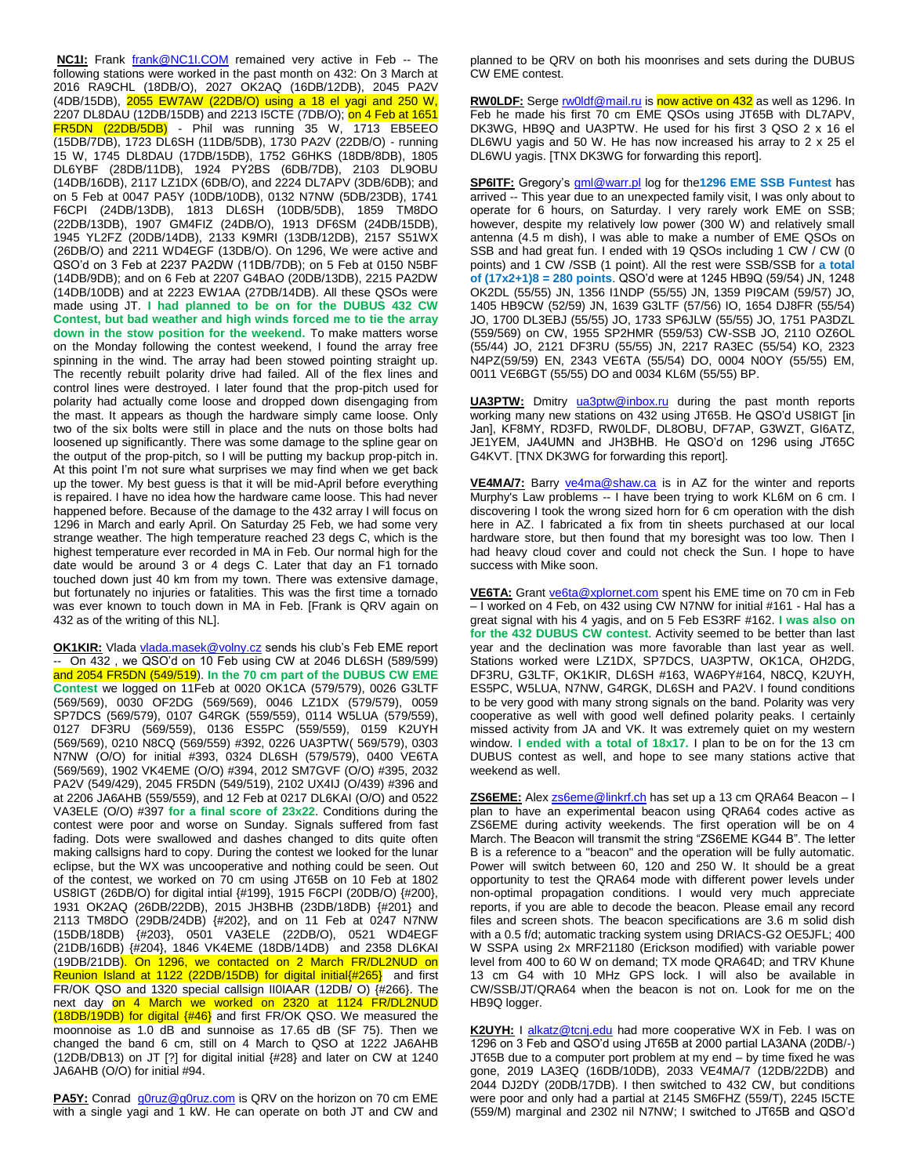**NC1I:** Frank [frank@NC1I.COM](mailto:frank@NC1I.COM) remained very active in Feb -- The following stations were worked in the past month on 432: On 3 March at 2016 RA9CHL (18DB/O), 2027 OK2AQ (16DB/12DB), 2045 PA2V (4DB/15DB), 2055 EW7AW (22DB/O) using a 18 el yagi and 250 W, 2207 DL8DAU (12DB/15DB) and 2213 I5CTE (7DB/O); on 4 Feb at 1651 FR5DN (22DB/5DB) - Phil was running 35 W, 1713 EB5EEO (15DB/7DB), 1723 DL6SH (11DB/5DB), 1730 PA2V (22DB/O) - running 15 W, 1745 DL8DAU (17DB/15DB), 1752 G6HKS (18DB/8DB), 1805 DL6YBF (28DB/11DB), 1924 PY2BS (6DB/7DB), 2103 DL9OBU (14DB/16DB), 2117 LZ1DX (6DB/O), and 2224 DL7APV (3DB/6DB); and on 5 Feb at 0047 PA5Y (10DB/10DB), 0132 N7NW (5DB/23DB), 1741 F6CPI (24DB/13DB), 1813 DL6SH (10DB/5DB), 1859 TM8DO (22DB/13DB), 1907 GM4FIZ (24DB/O), 1913 DF6SM (24DB/15DB), 1945 YL2FZ (20DB/14DB), 2133 K9MRI (13DB/12DB), 2157 S51WX (26DB/O) and 2211 WD4EGF (13DB/O). On 1296, We were active and QSO'd on 3 Feb at 2237 PA2DW (11DB/7DB); on 5 Feb at 0150 N5BF (14DB/9DB); and on 6 Feb at 2207 G4BAO (20DB/13DB), 2215 PA2DW (14DB/10DB) and at 2223 EW1AA (27DB/14DB). All these QSOs were made using JT. **I had planned to be on for the DUBUS 432 CW Contest, but bad weather and high winds forced me to tie the array down in the stow position for the weekend.** To make matters worse on the Monday following the contest weekend, I found the array free spinning in the wind. The array had been stowed pointing straight up. The recently rebuilt polarity drive had failed. All of the flex lines and control lines were destroyed. I later found that the prop-pitch used for polarity had actually come loose and dropped down disengaging from the mast. It appears as though the hardware simply came loose. Only two of the six bolts were still in place and the nuts on those bolts had loosened up significantly. There was some damage to the spline gear on the output of the prop-pitch, so I will be putting my backup prop-pitch in. At this point I'm not sure what surprises we may find when we get back up the tower. My best guess is that it will be mid-April before everything is repaired. I have no idea how the hardware came loose. This had never happened before. Because of the damage to the 432 array I will focus on 1296 in March and early April. On Saturday 25 Feb, we had some very strange weather. The high temperature reached 23 degs C, which is the highest temperature ever recorded in MA in Feb. Our normal high for the date would be around 3 or 4 degs C. Later that day an F1 tornado touched down just 40 km from my town. There was extensive damage, but fortunately no injuries or fatalities. This was the first time a tornado was ever known to touch down in MA in Feb. [Frank is QRV again on 432 as of the writing of this NL].

**OK1KIR:** Vlada [vlada.masek@volny.cz](mailto:vlada.masek@volny.cz) sends his club's Feb EME report -- On 432 , we QSO'd on 10 Feb using CW at 2046 DL6SH (589/599) and 2054 FR5DN (549/519). **In the 70 cm part of the DUBUS CW EME Contest** we logged on 11Feb at 0020 OK1CA (579/579), 0026 G3LTF (569/569), 0030 OF2DG (569/569), 0046 LZ1DX (579/579), 0059 SP7DCS (569/579), 0107 G4RGK (559/559), 0114 W5LUA (579/559), 0127 DF3RU (569/559), 0136 ES5PC (559/559), 0159 K2UYH (569/569), 0210 N8CQ (569/559) #392, 0226 UA3PTW( 569/579), 0303 N7NW (O/O) for initial #393, 0324 DL6SH (579/579), 0400 VE6TA (569/569), 1902 VK4EME (O/O) #394, 2012 SM7GVF (O/O) #395, 2032 PA2V (549/429), 2045 FR5DN (549/519), 2102 UX4IJ (O/439) #396 and at 2206 JA6AHB (559/559), and 12 Feb at 0217 DL6KAI (O/O) and 0522 VA3ELE (O/O) #397 **for a final score of 23x22**. Conditions during the contest were poor and worse on Sunday. Signals suffered from fast fading. Dots were swallowed and dashes changed to dits quite often making callsigns hard to copy. During the contest we looked for the lunar eclipse, but the WX was uncooperative and nothing could be seen. Out of the contest, we worked on 70 cm using JT65B on 10 Feb at 1802 US8IGT (26DB/O) for digital intial {#199}, 1915 F6CPI (20DB/O) {#200}, 1931 OK2AQ (26DB/22DB), 2015 JH3BHB (23DB/18DB) {#201} and 2113 TM8DO (29DB/24DB) {#202}, and on 11 Feb at 0247 N7NW (15DB/18DB) {#203}, 0501 VA3ELE (22DB/O), 0521 WD4EGF (21DB/16DB) {#204}, 1846 VK4EME (18DB/14DB) and 2358 DL6KAI (19DB/21DB). On 1296, we contacted on 2 March FR/DL2NUD on Reunion Island at 1122 (22DB/15DB) for digital initial {#265} and first FR/OK QSO and 1320 special callsign II0IAAR (12DB/ O) {#266}. The next day on 4 March we worked on 2320 at 1124 FR/DL2NUD (18DB/19DB) for digital {#46} and first FR/OK QSO. We measured the moonnoise as 1.0 dB and sunnoise as 17.65 dB (SF 75). Then we changed the band 6 cm, still on 4 March to QSO at 1222 JA6AHB (12DB/DB13) on JT [?] for digital initial {#28} and later on CW at 1240 JA6AHB (O/O) for initial #94.

**PA5Y:** Conrad  $q0ruz@q0ruz.com$  is QRV on the horizon on 70 cm EME with a single yagi and 1 kW. He can operate on both JT and CW and planned to be QRV on both his moonrises and sets during the DUBUS CW EME contest.

RW0LDF: Serg[e rw0ldf@mail.ru](mailto:rw0ldf@mail.ru) is now active on 432 as well as 1296. In Feb he made his first 70 cm EME QSOs using JT65B with DL7APV, DK3WG, HB9Q and UA3PTW. He used for his first 3 QSO 2 x 16 el DL6WU yagis and 50 W. He has now increased his array to 2 x 25 el DL6WU yagis. [TNX DK3WG for forwarding this report].

**SP6ITF:** Gregory's [gml@warr.pl](mailto:gml@warr.pl) log for the**1296 EME SSB Funtest** has arrived -- This year due to an unexpected family visit, I was only about to operate for 6 hours, on Saturday. I very rarely work EME on SSB; however, despite my relatively low power (300 W) and relatively small antenna (4.5 m dish), I was able to make a number of EME QSOs on SSB and had great fun. I ended with 19 QSOs including 1 CW / CW (0 points) and 1 CW /SSB (1 point). All the rest were SSB/SSB for **a total of (17x2+1)8 = 280 points**. QSO'd were at 1245 HB9Q (59/54) JN, 1248 OK2DL (55/55) JN, 1356 I1NDP (55/55) JN, 1359 PI9CAM (59/57) JO, 1405 HB9CW (52/59) JN, 1639 G3LTF (57/56) IO, 1654 DJ8FR (55/54) JO, 1700 DL3EBJ (55/55) JO, 1733 SP6JLW (55/55) JO, 1751 PA3DZL (559/569) on CW, 1955 SP2HMR (559/53) CW-SSB JO, 2110 OZ6OL (55/44) JO, 2121 DF3RU (55/55) JN, 2217 RA3EC (55/54) KO, 2323 N4PZ(59/59) EN, 2343 VE6TA (55/54) DO, 0004 N0OY (55/55) EM, 0011 VE6BGT (55/55) DO and 0034 KL6M (55/55) BP.

**UA3PTW:** Dmitry [ua3ptw@inbox.ru](mailto:ua3ptw@inbox.ru) during the past month reports working many new stations on 432 using JT65B. He QSO'd US8IGT [in Jan], KF8MY, RD3FD, RW0LDF, DL8OBU, DF7AP, G3WZT, GI6ATZ, JE1YEM, JA4UMN and JH3BHB. He QSO'd on 1296 using JT65C G4KVT. [TNX DK3WG for forwarding this report].

**VE4MA/7:** Barry [ve4ma@shaw.ca](mailto:ve4ma@shaw.ca) is in AZ for the winter and reports Murphy's Law problems -- I have been trying to work KL6M on 6 cm. I discovering I took the wrong sized horn for 6 cm operation with the dish here in AZ. I fabricated a fix from tin sheets purchased at our local hardware store, but then found that my boresight was too low. Then I had heavy cloud cover and could not check the Sun. I hope to have success with Mike soon.

**VE6TA:** Grant [ve6ta@xplornet.com](mailto:ve6ta@xplornet.com) spent his EME time on 70 cm in Feb – I worked on 4 Feb, on 432 using CW N7NW for initial #161 - Hal has a great signal with his 4 yagis, and on 5 Feb ES3RF #162. **I was also on for the 432 DUBUS CW contest**. Activity seemed to be better than last year and the declination was more favorable than last year as well. Stations worked were LZ1DX, SP7DCS, UA3PTW, OK1CA, OH2DG, DF3RU, G3LTF, OK1KIR, DL6SH #163, WA6PY#164, N8CQ, K2UYH, ES5PC, W5LUA, N7NW, G4RGK, DL6SH and PA2V. I found conditions to be very good with many strong signals on the band. Polarity was very cooperative as well with good well defined polarity peaks. I certainly missed activity from JA and VK. It was extremely quiet on my western window. **I ended with a total of 18x17.** I plan to be on for the 13 cm DUBUS contest as well, and hope to see many stations active that weekend as well.

**ZS6EME:** Alex **zs6eme@linkrf.ch** has set up a 13 cm QRA64 Beacon - I plan to have an experimental beacon using QRA64 codes active as ZS6EME during activity weekends. The first operation will be on 4 March. The Beacon will transmit the string "ZS6EME KG44 B". The letter B is a reference to a "beacon" and the operation will be fully automatic. Power will switch between 60, 120 and 250 W. It should be a great opportunity to test the QRA64 mode with different power levels under non-optimal propagation conditions. I would very much appreciate reports, if you are able to decode the beacon. Please email any record files and screen shots. The beacon specifications are 3.6 m solid dish with a 0.5 f/d; automatic tracking system using DRIACS-G2 OE5JFL; 400 W SSPA using 2x MRF21180 (Erickson modified) with variable power level from 400 to 60 W on demand; TX mode QRA64D; and TRV Khune 13 cm G4 with 10 MHz GPS lock. I will also be available in CW/SSB/JT/QRA64 when the beacon is not on. Look for me on the HB9Q logger.

K2UYH: I [alkatz@tcnj.edu](mailto:alkatz@tcnj.edu) had more cooperative WX in Feb. I was on 1296 on 3 Feb and QSO'd using JT65B at 2000 partial LA3ANA (20DB/-) JT65B due to a computer port problem at my end – by time fixed he was gone, 2019 LA3EQ (16DB/10DB), 2033 VE4MA/7 (12DB/22DB) and 2044 DJ2DY (20DB/17DB). I then switched to 432 CW, but conditions were poor and only had a partial at 2145 SM6FHZ (559/T), 2245 I5CTE (559/M) marginal and 2302 nil N7NW; I switched to JT65B and QSO'd